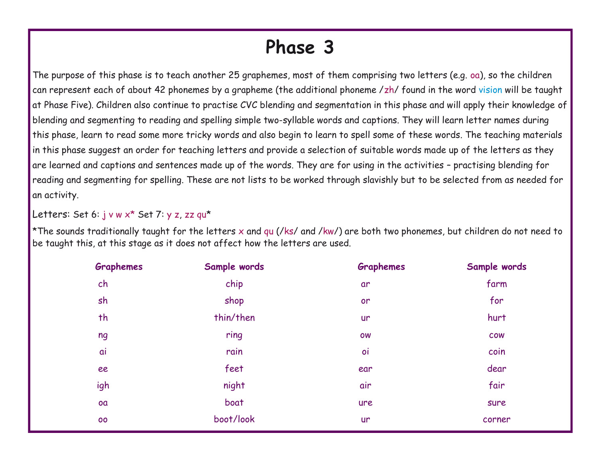## **Phase 3**

The purpose of this phase is to teach another 25 graphemes, most of them comprising two letters (e.g. oa), so the children can represent each of about 42 phonemes by a grapheme (the additional phoneme /zh/ found in the word vision will be taught at Phase Five). Children also continue to practise CVC blending and segmentation in this phase and will apply their knowledge of blending and segmenting to reading and spelling simple two-syllable words and captions. They will learn letter names during this phase, learn to read some more tricky words and also begin to learn to spell some of these words. The teaching materials in this phase suggest an order for teaching letters and provide a selection of suitable words made up of the letters as they are learned and captions and sentences made up of the words. They are for using in the activities – practising blending for reading and segmenting for spelling. These are not lists to be worked through slavishly but to be selected from as needed for an activity.

Letters: Set 6: j v w x<sup>\*</sup> Set 7: y z, zz qu<sup>\*</sup>

\*The sounds traditionally taught for the letters x and qu (/ks/ and /kw/) are both two phonemes, but children do not need to be taught this, at this stage as it does not affect how the letters are used.

| <b>Graphemes</b> | Sample words | <b>Graphemes</b> | Sample words |
|------------------|--------------|------------------|--------------|
| ch               | chip         | ar               | farm         |
| sh               | shop         | or               | for          |
| th               | thin/then    | <b>ur</b>        | hurt         |
| ng               | ring         | <b>OW</b>        | <b>COW</b>   |
| ai               | rain         | oi               | coin         |
| ee               | feet         | ear              | dear         |
| igh              | night        | air              | fair         |
| oa               | boat         | ure              | sure         |
| 00               | boot/look    | <b>ur</b>        | corner       |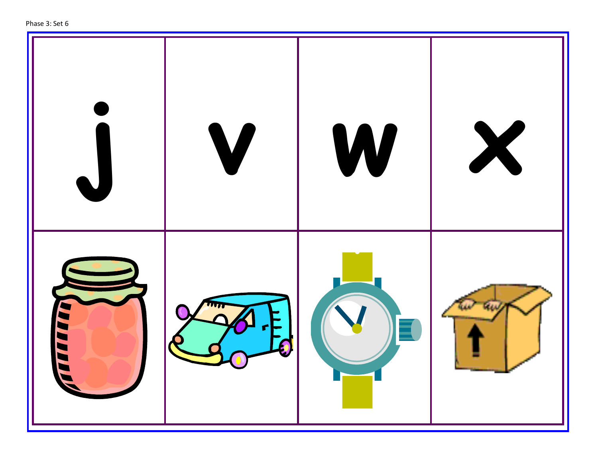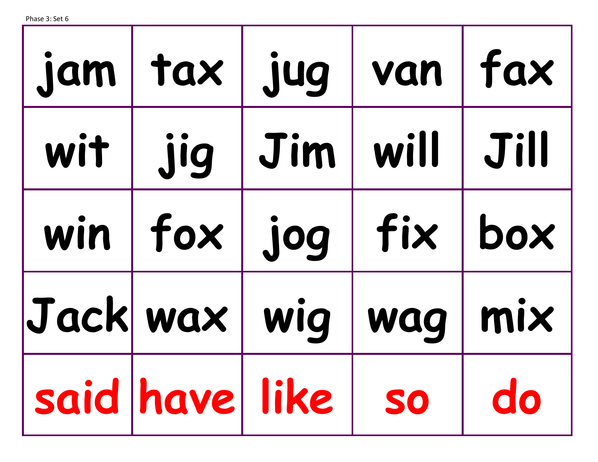| jam   tax   jug      |      | van   fax         |
|----------------------|------|-------------------|
| wit   jig   Jim      | will | $\parallel$ Jill  |
| win   fox   jog      | fix  | box               |
| Jack wax   wig       | wag  | $\mid$ mix $\mid$ |
| said have like so do |      |                   |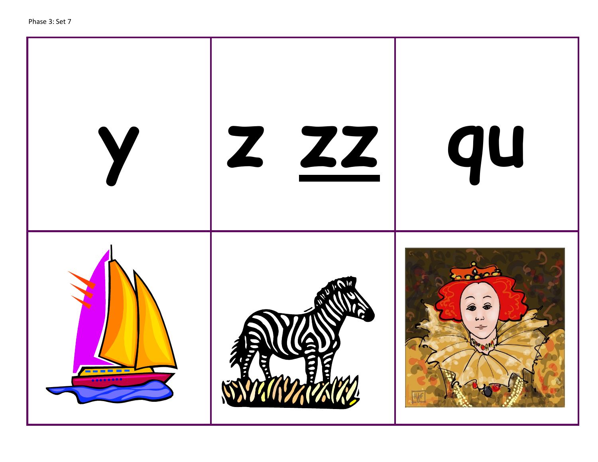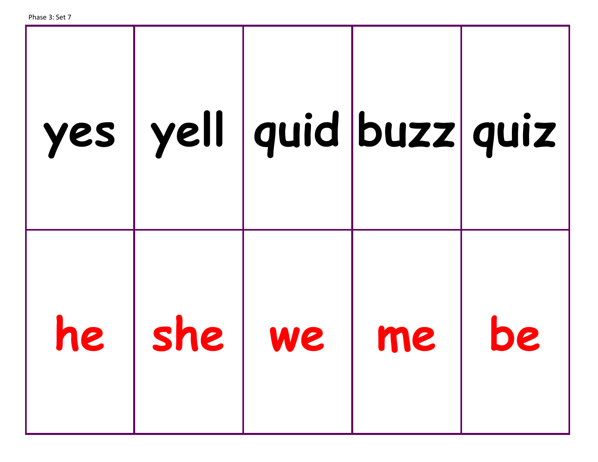| yes   yell   quid   buzz   quiz |    |    |
|---------------------------------|----|----|
| he   she   we                   | me | DC |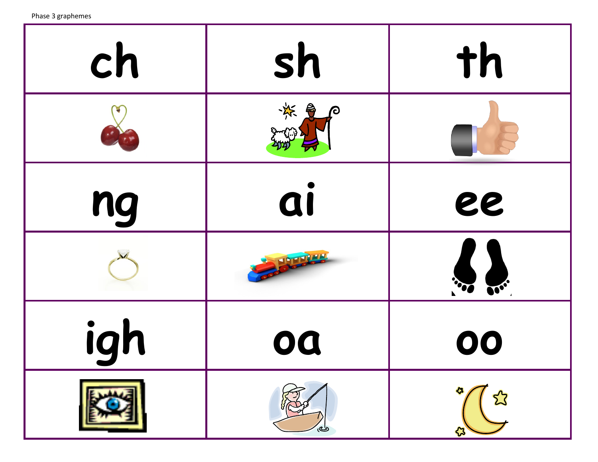Phase 3 graphemes

| ch  | sh                   | th             |
|-----|----------------------|----------------|
|     | ※ 是<br>$\mathcal{P}$ |                |
| ng  | ai                   | ee             |
|     |                      | <b>100 000</b> |
| igh | oa                   | 00             |
|     | رك                   |                |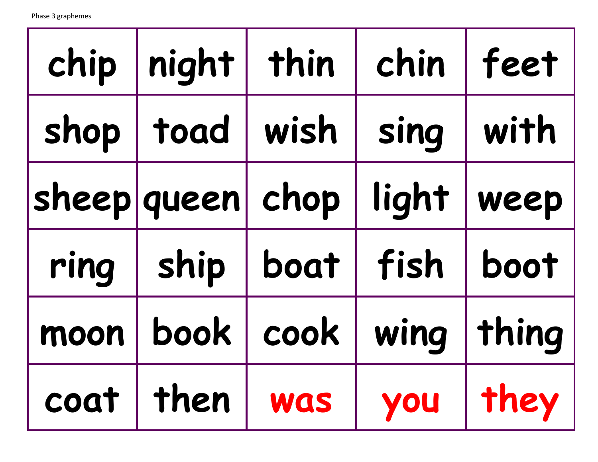|      | chip   night                   | thin | chin  | feet  |
|------|--------------------------------|------|-------|-------|
|      | shop   toad                    | wish | sing  | with  |
|      | sheep queen chop               |      | light | weep  |
| ring | ship                           | boat | fish  | boot  |
| moon | book                           | cook | wing  | thing |
|      | coat   then   was   you   they |      |       |       |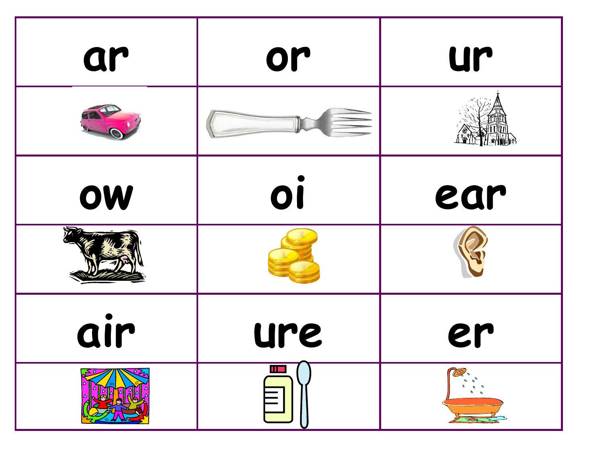| ar  | or  | ur  |
|-----|-----|-----|
|     |     |     |
| OW  | 01  | ear |
|     |     |     |
| air | ure | er  |
|     |     |     |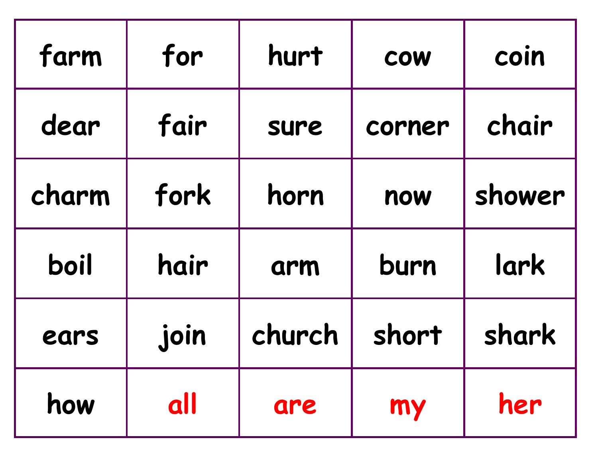| farm  | for  | hurt   | COW    | coin   |
|-------|------|--------|--------|--------|
| dear  | fair | sure   | corner | chair  |
| charm | fork | horn   | now    | shower |
| boil  | hair | arm    | burn   | lark   |
| ears  | join | church | short  | shark  |
| how   | all  | are    | my     | her    |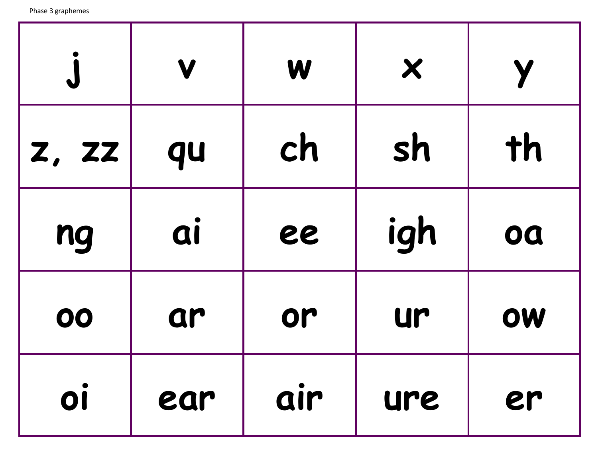| $\bigcup$    | V   | W   | $\boldsymbol{\mathsf{X}}$ |    |
|--------------|-----|-----|---------------------------|----|
| <b>Z, ZZ</b> | qu  | ch  | sh                        | th |
| ng           | ai  | ee  | igh                       | oa |
| 00           | ar  | or  | ur                        | OW |
| OÍ           | ear | air | ure                       | er |